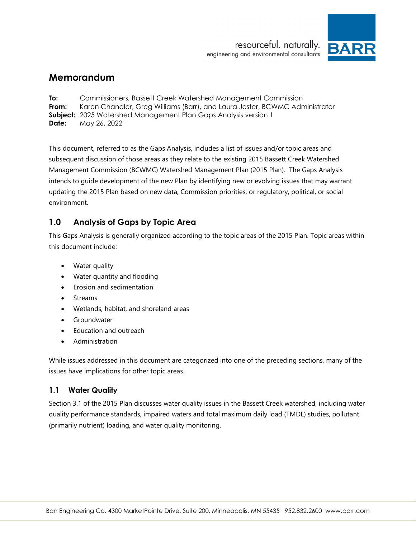



# <span id="page-0-0"></span>**Memorandum**

<span id="page-0-3"></span><span id="page-0-2"></span><span id="page-0-1"></span>**To:** Commissioners, Bassett Creek Watershed Management Commission **From:** Karen Chandler, Greg Williams (Barr), and Laura Jester, BCWMC Administrator **Subject:** 2025 Watershed Management Plan Gaps Analysis version 1 **Date:** May 26, 2022

This document, referred to as the Gaps Analysis, includes a list of issues and/or topic areas and subsequent discussion of those areas as they relate to the existing 2015 Bassett Creek Watershed Management Commission (BCWMC) Watershed Management Plan (2015 Plan). The Gaps Analysis intends to guide development of the new Plan by identifying new or evolving issues that may warrant updating the 2015 Plan based on new data, Commission priorities, or regulatory, political, or social environment.

#### $1.0$ **Analysis of Gaps by Topic Area**

This Gaps Analysis is generally organized according to the topic areas of the 2015 Plan. Topic areas within this document include:

- Water quality
- Water quantity and flooding
- Erosion and sedimentation
- **Streams**
- Wetlands, habitat, and shoreland areas
- Groundwater
- Education and outreach
- **Administration**

While issues addressed in this document are categorized into one of the preceding sections, many of the issues have implications for other topic areas.

## **1.1 Water Quality**

Section 3.1 of the 2015 Plan discusses water quality issues in the Bassett Creek watershed, including water quality performance standards, impaired waters and total maximum daily load (TMDL) studies, pollutant (primarily nutrient) loading, and water quality monitoring.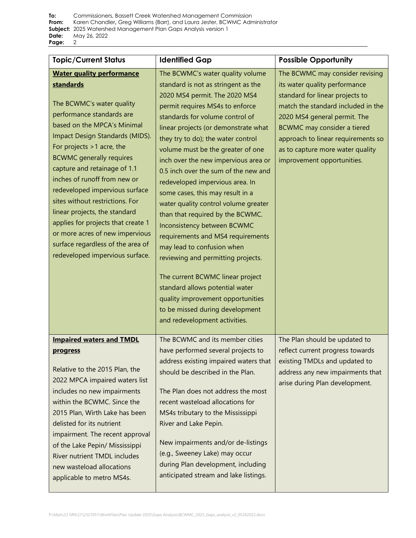| <b>Topic/Current Status</b>                                                                                                                                                                                                                                                                                                                                                                                                                                                                                                                                        | <b>Identified Gap</b>                                                                                                                                                                                                                                                                                                                                                                                                                                                                                                                                                                                                                                                                                                                                                                                                                                        | <b>Possible Opportunity</b>                                                                                                                                                                                                                                                                                      |
|--------------------------------------------------------------------------------------------------------------------------------------------------------------------------------------------------------------------------------------------------------------------------------------------------------------------------------------------------------------------------------------------------------------------------------------------------------------------------------------------------------------------------------------------------------------------|--------------------------------------------------------------------------------------------------------------------------------------------------------------------------------------------------------------------------------------------------------------------------------------------------------------------------------------------------------------------------------------------------------------------------------------------------------------------------------------------------------------------------------------------------------------------------------------------------------------------------------------------------------------------------------------------------------------------------------------------------------------------------------------------------------------------------------------------------------------|------------------------------------------------------------------------------------------------------------------------------------------------------------------------------------------------------------------------------------------------------------------------------------------------------------------|
| <b>Water quality performance</b><br>standards<br>The BCWMC's water quality<br>performance standards are<br>based on the MPCA's Minimal<br>Impact Design Standards (MIDS).<br>For projects $>1$ acre, the<br><b>BCWMC</b> generally requires<br>capture and retainage of 1.1<br>inches of runoff from new or<br>redeveloped impervious surface<br>sites without restrictions. For<br>linear projects, the standard<br>applies for projects that create 1<br>or more acres of new impervious<br>surface regardless of the area of<br>redeveloped impervious surface. | The BCWMC's water quality volume<br>standard is not as stringent as the<br>2020 MS4 permit. The 2020 MS4<br>permit requires MS4s to enforce<br>standards for volume control of<br>linear projects (or demonstrate what<br>they try to do); the water control<br>volume must be the greater of one<br>inch over the new impervious area or<br>0.5 inch over the sum of the new and<br>redeveloped impervious area. In<br>some cases, this may result in a<br>water quality control volume greater<br>than that required by the BCWMC.<br>Inconsistency between BCWMC<br>requirements and MS4 requirements<br>may lead to confusion when<br>reviewing and permitting projects.<br>The current BCWMC linear project<br>standard allows potential water<br>quality improvement opportunities<br>to be missed during development<br>and redevelopment activities. | The BCWMC may consider revising<br>its water quality performance<br>standard for linear projects to<br>match the standard included in the<br>2020 MS4 general permit. The<br>BCWMC may consider a tiered<br>approach to linear requirements so<br>as to capture more water quality<br>improvement opportunities. |
| <b>Impaired waters and TMDL</b><br>progress<br>Relative to the 2015 Plan, the<br>2022 MPCA impaired waters list<br>includes no new impairments<br>within the BCWMC. Since the<br>2015 Plan, Wirth Lake has been<br>delisted for its nutrient<br>impairment. The recent approval<br>of the Lake Pepin/ Mississippi<br>River nutrient TMDL includes<br>new wasteload allocations<br>applicable to metro MS4s.                                                                                                                                                        | The BCWMC and its member cities<br>have performed several projects to<br>address existing impaired waters that<br>should be described in the Plan.<br>The Plan does not address the most<br>recent wasteload allocations for<br>MS4s tributary to the Mississippi<br>River and Lake Pepin.<br>New impairments and/or de-listings<br>(e.g., Sweeney Lake) may occur<br>during Plan development, including<br>anticipated stream and lake listings.                                                                                                                                                                                                                                                                                                                                                                                                            | The Plan should be updated to<br>reflect current progress towards<br>existing TMDLs and updated to<br>address any new impairments that<br>arise during Plan development.                                                                                                                                         |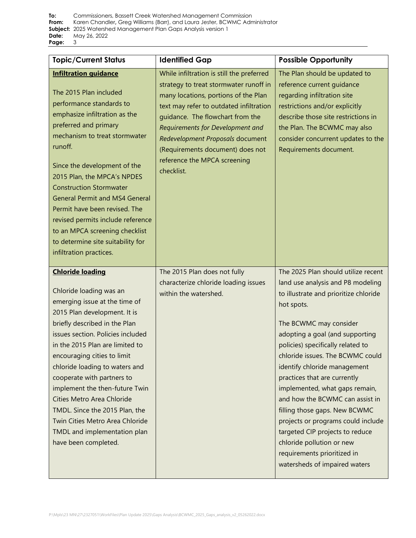| <b>Topic/Current Status</b>                                                                                                                                                                                                                                                                                                                                                                                                                                                                                              | <b>Identified Gap</b>                                                                                                                                                                                                                                                                                                                                                | <b>Possible Opportunity</b>                                                                                                                                                                                                                                                                                                                                                                                                                                                                                                                                                                                       |
|--------------------------------------------------------------------------------------------------------------------------------------------------------------------------------------------------------------------------------------------------------------------------------------------------------------------------------------------------------------------------------------------------------------------------------------------------------------------------------------------------------------------------|----------------------------------------------------------------------------------------------------------------------------------------------------------------------------------------------------------------------------------------------------------------------------------------------------------------------------------------------------------------------|-------------------------------------------------------------------------------------------------------------------------------------------------------------------------------------------------------------------------------------------------------------------------------------------------------------------------------------------------------------------------------------------------------------------------------------------------------------------------------------------------------------------------------------------------------------------------------------------------------------------|
| <b>Infiltration quidance</b><br>The 2015 Plan included<br>performance standards to<br>emphasize infiltration as the<br>preferred and primary<br>mechanism to treat stormwater<br>runoff.<br>Since the development of the<br>2015 Plan, the MPCA's NPDES<br><b>Construction Stormwater</b><br><b>General Permit and MS4 General</b><br>Permit have been revised. The<br>revised permits include reference<br>to an MPCA screening checklist<br>to determine site suitability for<br>infiltration practices.               | While infiltration is still the preferred<br>strategy to treat stormwater runoff in<br>many locations, portions of the Plan<br>text may refer to outdated infiltration<br>guidance. The flowchart from the<br>Requirements for Development and<br>Redevelopment Proposals document<br>(Requirements document) does not<br>reference the MPCA screening<br>checklist. | The Plan should be updated to<br>reference current quidance<br>regarding infiltration site<br>restrictions and/or explicitly<br>describe those site restrictions in<br>the Plan. The BCWMC may also<br>consider concurrent updates to the<br>Requirements document.                                                                                                                                                                                                                                                                                                                                               |
| <b>Chloride loading</b><br>Chloride loading was an<br>emerging issue at the time of<br>2015 Plan development. It is<br>briefly described in the Plan<br>issues section. Policies included<br>in the 2015 Plan are limited to<br>encouraging cities to limit<br>chloride loading to waters and<br>cooperate with partners to<br>implement the then-future Twin<br>Cities Metro Area Chloride<br>TMDL. Since the 2015 Plan, the<br>Twin Cities Metro Area Chloride<br>TMDL and implementation plan<br>have been completed. | The 2015 Plan does not fully<br>characterize chloride loading issues<br>within the watershed.                                                                                                                                                                                                                                                                        | The 2025 Plan should utilize recent<br>land use analysis and P8 modeling<br>to illustrate and prioritize chloride<br>hot spots.<br>The BCWMC may consider<br>adopting a goal (and supporting<br>policies) specifically related to<br>chloride issues. The BCWMC could<br>identify chloride management<br>practices that are currently<br>implemented, what gaps remain,<br>and how the BCWMC can assist in<br>filling those gaps. New BCWMC<br>projects or programs could include<br>targeted CIP projects to reduce<br>chloride pollution or new<br>requirements prioritized in<br>watersheds of impaired waters |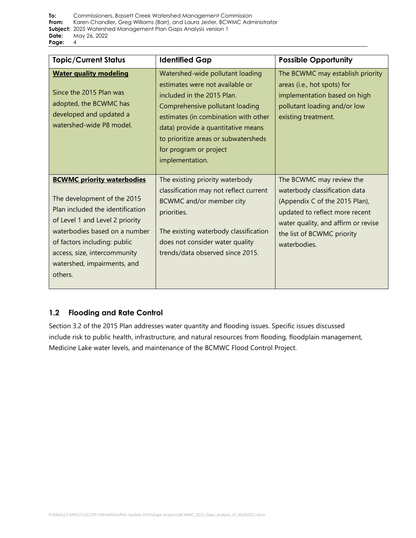| <b>Topic/Current Status</b>                                                                                                                                                                                                                                                        | <b>Identified Gap</b>                                                                                                                                                                                                                                                                                   | <b>Possible Opportunity</b>                                                                                                                                                                                        |
|------------------------------------------------------------------------------------------------------------------------------------------------------------------------------------------------------------------------------------------------------------------------------------|---------------------------------------------------------------------------------------------------------------------------------------------------------------------------------------------------------------------------------------------------------------------------------------------------------|--------------------------------------------------------------------------------------------------------------------------------------------------------------------------------------------------------------------|
| <b>Water quality modeling</b><br>Since the 2015 Plan was<br>adopted, the BCWMC has<br>developed and updated a<br>watershed-wide P8 model.                                                                                                                                          | Watershed-wide pollutant loading<br>estimates were not available or<br>included in the 2015 Plan.<br>Comprehensive pollutant loading<br>estimates (in combination with other<br>data) provide a quantitative means<br>to prioritize areas or subwatersheds<br>for program or project<br>implementation. | The BCWMC may establish priority<br>areas (i.e., hot spots) for<br>implementation based on high<br>pollutant loading and/or low<br>existing treatment.                                                             |
| <b>BCWMC priority waterbodies</b><br>The development of the 2015<br>Plan included the identification<br>of Level 1 and Level 2 priority<br>waterbodies based on a number<br>of factors including: public<br>access, size, intercommunity<br>watershed, impairments, and<br>others. | The existing priority waterbody<br>classification may not reflect current<br>BCWMC and/or member city<br>priorities.<br>The existing waterbody classification<br>does not consider water quality<br>trends/data observed since 2015.                                                                    | The BCWMC may review the<br>waterbody classification data<br>(Appendix C of the 2015 Plan),<br>updated to reflect more recent<br>water quality, and affirm or revise<br>the list of BCWMC priority<br>waterbodies. |

## **1.2 Flooding and Rate Control**

Section 3.2 of the 2015 Plan addresses water quantity and flooding issues. Specific issues discussed include risk to public health, infrastructure, and natural resources from flooding, floodplain management, Medicine Lake water levels, and maintenance of the BCMWC Flood Control Project.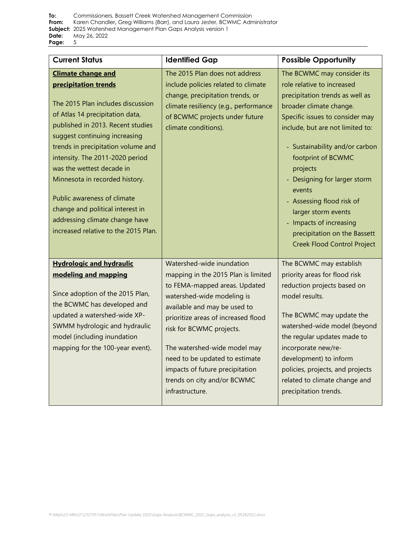| <b>Current Status</b>                                                                                                                                                                                                                                                                                                                                                                                                                                                                | <b>Identified Gap</b>                                                                                                                                                                                                                                                                                                                                                                     | <b>Possible Opportunity</b>                                                                                                                                                                                                                                                                                                                                                                                                                             |
|--------------------------------------------------------------------------------------------------------------------------------------------------------------------------------------------------------------------------------------------------------------------------------------------------------------------------------------------------------------------------------------------------------------------------------------------------------------------------------------|-------------------------------------------------------------------------------------------------------------------------------------------------------------------------------------------------------------------------------------------------------------------------------------------------------------------------------------------------------------------------------------------|---------------------------------------------------------------------------------------------------------------------------------------------------------------------------------------------------------------------------------------------------------------------------------------------------------------------------------------------------------------------------------------------------------------------------------------------------------|
| <b>Climate change and</b><br>precipitation trends<br>The 2015 Plan includes discussion<br>of Atlas 14 precipitation data,<br>published in 2013. Recent studies<br>suggest continuing increasing<br>trends in precipitation volume and<br>intensity. The 2011-2020 period<br>was the wettest decade in<br>Minnesota in recorded history.<br>Public awareness of climate<br>change and political interest in<br>addressing climate change have<br>increased relative to the 2015 Plan. | The 2015 Plan does not address<br>include policies related to climate<br>change, precipitation trends, or<br>climate resiliency (e.g., performance<br>of BCWMC projects under future<br>climate conditions).                                                                                                                                                                              | The BCWMC may consider its<br>role relative to increased<br>precipitation trends as well as<br>broader climate change.<br>Specific issues to consider may<br>include, but are not limited to:<br>- Sustainability and/or carbon<br>footprint of BCWMC<br>projects<br>Designing for larger storm<br>events<br>- Assessing flood risk of<br>larger storm events<br>- Impacts of increasing<br>precipitation on the Bassett<br>Creek Flood Control Project |
| <b>Hydrologic and hydraulic</b><br>modeling and mapping<br>Since adoption of the 2015 Plan,<br>the BCWMC has developed and<br>updated a watershed-wide XP-<br>SWMM hydrologic and hydraulic<br>model (including inundation<br>mapping for the 100-year event).                                                                                                                                                                                                                       | Watershed-wide inundation<br>mapping in the 2015 Plan is limited<br>to FEMA-mapped areas. Updated<br>watershed-wide modeling is<br>available and may be used to<br>prioritize areas of increased flood<br>risk for BCWMC projects.<br>The watershed-wide model may<br>need to be updated to estimate<br>impacts of future precipitation<br>trends on city and/or BCWMC<br>infrastructure. | The BCWMC may establish<br>priority areas for flood risk<br>reduction projects based on<br>model results.<br>The BCWMC may update the<br>watershed-wide model (beyond<br>the regular updates made to<br>incorporate new/re-<br>development) to inform<br>policies, projects, and projects<br>related to climate change and<br>precipitation trends.                                                                                                     |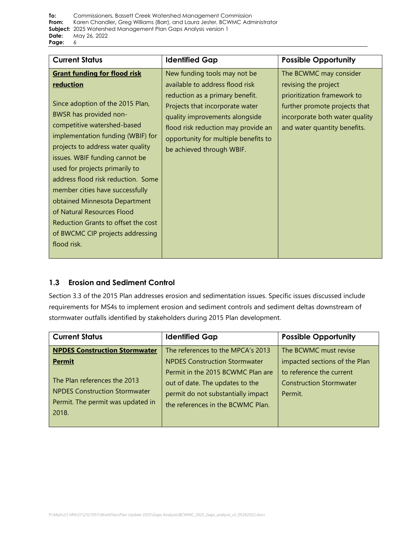| <b>Current Status</b>                                                                                                                                                                                                                                                                                                                                                                                                                                                                                                                | <b>Identified Gap</b>                                                                                                                                                                                                                                                               | <b>Possible Opportunity</b>                                                                                                                                                      |
|--------------------------------------------------------------------------------------------------------------------------------------------------------------------------------------------------------------------------------------------------------------------------------------------------------------------------------------------------------------------------------------------------------------------------------------------------------------------------------------------------------------------------------------|-------------------------------------------------------------------------------------------------------------------------------------------------------------------------------------------------------------------------------------------------------------------------------------|----------------------------------------------------------------------------------------------------------------------------------------------------------------------------------|
| <b>Grant funding for flood risk</b><br><b>reduction</b><br>Since adoption of the 2015 Plan,<br>BWSR has provided non-<br>competitive watershed-based<br>implementation funding (WBIF) for<br>projects to address water quality<br>issues. WBIF funding cannot be<br>used for projects primarily to<br>address flood risk reduction. Some<br>member cities have successfully<br>obtained Minnesota Department<br>of Natural Resources Flood<br>Reduction Grants to offset the cost<br>of BWCMC CIP projects addressing<br>flood risk. | New funding tools may not be<br>available to address flood risk<br>reduction as a primary benefit.<br>Projects that incorporate water<br>quality improvements alongside<br>flood risk reduction may provide an<br>opportunity for multiple benefits to<br>be achieved through WBIF. | The BCWMC may consider<br>revising the project<br>prioritization framework to<br>further promote projects that<br>incorporate both water quality<br>and water quantity benefits. |

## **1.3 Erosion and Sediment Control**

Section 3.3 of the 2015 Plan addresses erosion and sedimentation issues. Specific issues discussed include requirements for MS4s to implement erosion and sediment controls and sediment deltas downstream of stormwater outfalls identified by stakeholders during 2015 Plan development.

| <b>Current Status</b>                                                                                              | <b>Identified Gap</b>                                                                                                                           | <b>Possible Opportunity</b>                                           |
|--------------------------------------------------------------------------------------------------------------------|-------------------------------------------------------------------------------------------------------------------------------------------------|-----------------------------------------------------------------------|
| <b>NPDES Construction Stormwater</b>                                                                               | The references to the MPCA's 2013                                                                                                               | The BCWMC must revise                                                 |
| <b>Permit</b>                                                                                                      | <b>NPDES Construction Stormwater</b>                                                                                                            | impacted sections of the Plan                                         |
| The Plan references the 2013<br><b>NPDES Construction Stormwater</b><br>Permit. The permit was updated in<br>2018. | Permit in the 2015 BCWMC Plan are<br>out of date. The updates to the<br>permit do not substantially impact<br>the references in the BCWMC Plan. | to reference the current<br><b>Construction Stormwater</b><br>Permit. |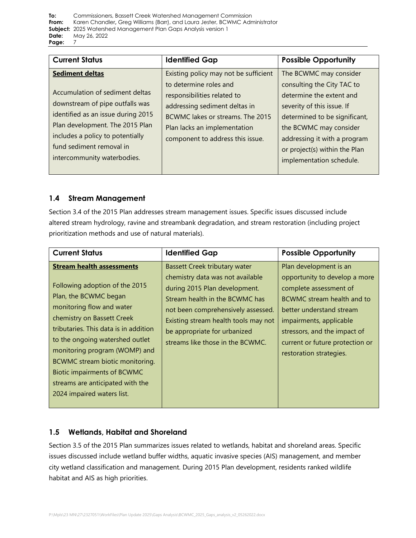**To:** [Commissioners, Bassett Creek Watershed Management](#page-0-0) Commission **From:** Karen Chandler**,** [Greg Williams \(Barr\), and Laura Jester, BCWMC Administrator](#page-0-1) **Subject:** [2025 Watershed Management Plan Gaps Analysis version 1](#page-0-2)  **Date:** [May 26, 2022](#page-0-3)  **Page:** 7

| <b>Sediment deltas</b><br>Existing policy may not be sufficient<br>The BCWMC may consider                                                                                                                                                                                                                                                                                                                                                                                                                                                                                                                                                                                                    | <b>Possible Opportunity</b> |
|----------------------------------------------------------------------------------------------------------------------------------------------------------------------------------------------------------------------------------------------------------------------------------------------------------------------------------------------------------------------------------------------------------------------------------------------------------------------------------------------------------------------------------------------------------------------------------------------------------------------------------------------------------------------------------------------|-----------------------------|
| consulting the City TAC to<br>to determine roles and<br>Accumulation of sediment deltas<br>determine the extent and<br>responsibilities related to<br>downstream of pipe outfalls was<br>addressing sediment deltas in<br>severity of this issue. If<br>identified as an issue during 2015<br>determined to be significant,<br>BCWMC lakes or streams. The 2015<br>Plan development. The 2015 Plan<br>Plan lacks an implementation<br>the BCWMC may consider<br>includes a policy to potentially<br>addressing it with a program<br>component to address this issue.<br>fund sediment removal in<br>or project(s) within the Plan<br>intercommunity waterbodies.<br>implementation schedule. |                             |

## **1.4 Stream Management**

Section 3.4 of the 2015 Plan addresses stream management issues. Specific issues discussed include altered stream hydrology, ravine and streambank degradation, and stream restoration (including project prioritization methods and use of natural materials).

| <b>Current Status</b>                                                                                                                                                                                                                                                                                                                                                                                          | <b>Identified Gap</b>                                                                                                                                                                                                                                                                         | <b>Possible Opportunity</b>                                                                                                                                                                                                                                          |
|----------------------------------------------------------------------------------------------------------------------------------------------------------------------------------------------------------------------------------------------------------------------------------------------------------------------------------------------------------------------------------------------------------------|-----------------------------------------------------------------------------------------------------------------------------------------------------------------------------------------------------------------------------------------------------------------------------------------------|----------------------------------------------------------------------------------------------------------------------------------------------------------------------------------------------------------------------------------------------------------------------|
| <b>Stream health assessments</b><br>Following adoption of the 2015<br>Plan, the BCWMC began<br>monitoring flow and water<br>chemistry on Bassett Creek<br>tributaries. This data is in addition<br>to the ongoing watershed outlet<br>monitoring program (WOMP) and<br>BCWMC stream biotic monitoring.<br><b>Biotic impairments of BCWMC</b><br>streams are anticipated with the<br>2024 impaired waters list. | <b>Bassett Creek tributary water</b><br>chemistry data was not available<br>during 2015 Plan development.<br>Stream health in the BCWMC has<br>not been comprehensively assessed.<br>Existing stream health tools may not<br>be appropriate for urbanized<br>streams like those in the BCWMC. | Plan development is an<br>opportunity to develop a more<br>complete assessment of<br>BCWMC stream health and to<br>better understand stream<br>impairments, applicable<br>stressors, and the impact of<br>current or future protection or<br>restoration strategies. |

## **1.5 Wetlands, Habitat and Shoreland**

Section 3.5 of the 2015 Plan summarizes issues related to wetlands, habitat and shoreland areas. Specific issues discussed include wetland buffer widths, aquatic invasive species (AIS) management, and member city wetland classification and management. During 2015 Plan development, residents ranked wildlife habitat and AIS as high priorities.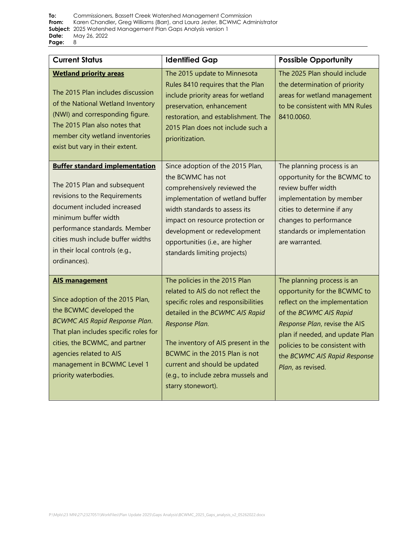| <b>Current Status</b>                                                                                                                                                                                                                                                                       | <b>Identified Gap</b>                                                                                                                                                                                                                                                                                                                | <b>Possible Opportunity</b>                                                                                                                                                                                                                                                      |
|---------------------------------------------------------------------------------------------------------------------------------------------------------------------------------------------------------------------------------------------------------------------------------------------|--------------------------------------------------------------------------------------------------------------------------------------------------------------------------------------------------------------------------------------------------------------------------------------------------------------------------------------|----------------------------------------------------------------------------------------------------------------------------------------------------------------------------------------------------------------------------------------------------------------------------------|
| <b>Wetland priority areas</b><br>The 2015 Plan includes discussion<br>of the National Wetland Inventory<br>(NWI) and corresponding figure.<br>The 2015 Plan also notes that<br>member city wetland inventories<br>exist but vary in their extent.                                           | The 2015 update to Minnesota<br>Rules 8410 requires that the Plan<br>include priority areas for wetland<br>preservation, enhancement<br>restoration, and establishment. The<br>2015 Plan does not include such a<br>prioritization.                                                                                                  | The 2025 Plan should include<br>the determination of priority<br>areas for wetland management<br>to be consistent with MN Rules<br>8410.0060.                                                                                                                                    |
| <b>Buffer standard implementation</b><br>The 2015 Plan and subsequent<br>revisions to the Requirements<br>document included increased<br>minimum buffer width<br>performance standards. Member<br>cities mush include buffer widths<br>in their local controls (e.g.,<br>ordinances).       | Since adoption of the 2015 Plan,<br>the BCWMC has not<br>comprehensively reviewed the<br>implementation of wetland buffer<br>width standards to assess its<br>impact on resource protection or<br>development or redevelopment<br>opportunities (i.e., are higher<br>standards limiting projects)                                    | The planning process is an<br>opportunity for the BCWMC to<br>review buffer width<br>implementation by member<br>cities to determine if any<br>changes to performance<br>standards or implementation<br>are warranted.                                                           |
| <b>AIS management</b><br>Since adoption of the 2015 Plan,<br>the BCWMC developed the<br><b>BCWMC AIS Rapid Response Plan.</b><br>That plan includes specific roles for<br>cities, the BCWMC, and partner<br>agencies related to AIS<br>management in BCWMC Level 1<br>priority waterbodies. | The policies in the 2015 Plan<br>related to AIS do not reflect the<br>specific roles and responsibilities<br>detailed in the BCWMC AIS Rapid<br>Response Plan.<br>The inventory of AIS present in the<br>BCWMC in the 2015 Plan is not<br>current and should be updated<br>(e.g., to include zebra mussels and<br>starry stonewort). | The planning process is an<br>opportunity for the BCWMC to<br>reflect on the implementation<br>of the BCWMC AIS Rapid<br>Response Plan, revise the AIS<br>plan if needed, and update Plan<br>policies to be consistent with<br>the BCWMC AIS Rapid Response<br>Plan, as revised. |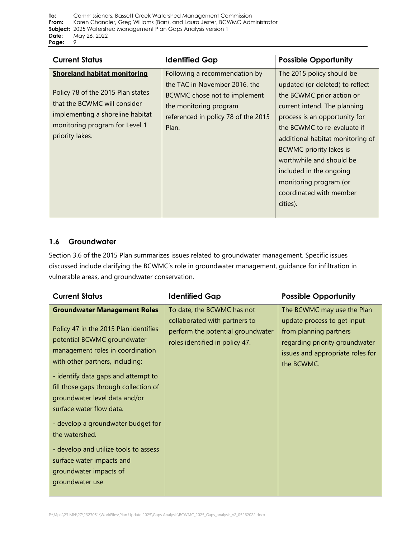| <b>Current Status</b>                                                                                                                                                                             | <b>Identified Gap</b>                                                                                                                                                    | <b>Possible Opportunity</b>                                                                                                                                                                                                                                                                                                                                                             |
|---------------------------------------------------------------------------------------------------------------------------------------------------------------------------------------------------|--------------------------------------------------------------------------------------------------------------------------------------------------------------------------|-----------------------------------------------------------------------------------------------------------------------------------------------------------------------------------------------------------------------------------------------------------------------------------------------------------------------------------------------------------------------------------------|
| <b>Shoreland habitat monitoring</b><br>Policy 78 of the 2015 Plan states<br>that the BCWMC will consider<br>implementing a shoreline habitat<br>monitoring program for Level 1<br>priority lakes. | Following a recommendation by<br>the TAC in November 2016, the<br>BCWMC chose not to implement<br>the monitoring program<br>referenced in policy 78 of the 2015<br>Plan. | The 2015 policy should be<br>updated (or deleted) to reflect<br>the BCWMC prior action or<br>current intend. The planning<br>process is an opportunity for<br>the BCWMC to re-evaluate if<br>additional habitat monitoring of<br><b>BCWMC</b> priority lakes is<br>worthwhile and should be<br>included in the ongoing<br>monitoring program (or<br>coordinated with member<br>cities). |

## **1.6 Groundwater**

Section 3.6 of the 2015 Plan summarizes issues related to groundwater management. Specific issues discussed include clarifying the BCWMC's role in groundwater management, guidance for infiltration in vulnerable areas, and groundwater conservation.

| <b>Current Status</b>                                                                                                                                                                                                                                                                                                                                                                                                                                                                                      | <b>Identified Gap</b>                                                                                                              | <b>Possible Opportunity</b>                                                                                                                                             |
|------------------------------------------------------------------------------------------------------------------------------------------------------------------------------------------------------------------------------------------------------------------------------------------------------------------------------------------------------------------------------------------------------------------------------------------------------------------------------------------------------------|------------------------------------------------------------------------------------------------------------------------------------|-------------------------------------------------------------------------------------------------------------------------------------------------------------------------|
| <b>Groundwater Management Roles</b><br>Policy 47 in the 2015 Plan identifies<br>potential BCWMC groundwater<br>management roles in coordination<br>with other partners, including:<br>- identify data gaps and attempt to<br>fill those gaps through collection of<br>groundwater level data and/or<br>surface water flow data.<br>- develop a groundwater budget for<br>the watershed.<br>- develop and utilize tools to assess<br>surface water impacts and<br>groundwater impacts of<br>groundwater use | To date, the BCWMC has not<br>collaborated with partners to<br>perform the potential groundwater<br>roles identified in policy 47. | The BCWMC may use the Plan<br>update process to get input<br>from planning partners<br>regarding priority groundwater<br>issues and appropriate roles for<br>the BCWMC. |
|                                                                                                                                                                                                                                                                                                                                                                                                                                                                                                            |                                                                                                                                    |                                                                                                                                                                         |

P:\Mpls\23 MN\27\2327051\WorkFiles\Plan Update 2025\Gaps Analysis\BCWMC\_2025\_Gaps\_analysis\_v2\_05262022.docx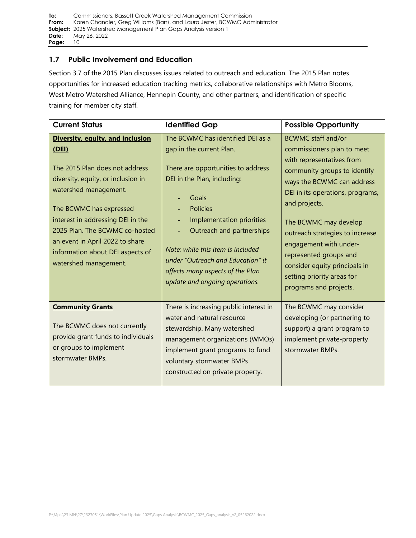#### **1.7 Public Involvement and Education**

Section 3.7 of the 2015 Plan discusses issues related to outreach and education. The 2015 Plan notes opportunities for increased education tracking metrics, collaborative relationships with Metro Blooms, West Metro Watershed Alliance, Hennepin County, and other partners, and identification of specific training for member city staff.

| <b>Current Status</b>                                                                                                                                                                                                                                                                                                                        | <b>Identified Gap</b>                                                                                                                                                                                                                                                                                                                                                    | <b>Possible Opportunity</b>                                                                                                                                                                                                                                                                                                                                                                                      |
|----------------------------------------------------------------------------------------------------------------------------------------------------------------------------------------------------------------------------------------------------------------------------------------------------------------------------------------------|--------------------------------------------------------------------------------------------------------------------------------------------------------------------------------------------------------------------------------------------------------------------------------------------------------------------------------------------------------------------------|------------------------------------------------------------------------------------------------------------------------------------------------------------------------------------------------------------------------------------------------------------------------------------------------------------------------------------------------------------------------------------------------------------------|
| Diversity, equity, and inclusion<br>(DEI)<br>The 2015 Plan does not address<br>diversity, equity, or inclusion in<br>watershed management.<br>The BCWMC has expressed<br>interest in addressing DEI in the<br>2025 Plan. The BCWMC co-hosted<br>an event in April 2022 to share<br>information about DEI aspects of<br>watershed management. | The BCWMC has identified DEI as a<br>gap in the current Plan.<br>There are opportunities to address<br>DEI in the Plan, including:<br>Goals<br><b>Policies</b><br>Implementation priorities<br>Outreach and partnerships<br>Note: while this item is included<br>under "Outreach and Education" it<br>affects many aspects of the Plan<br>update and ongoing operations. | <b>BCWMC staff and/or</b><br>commissioners plan to meet<br>with representatives from<br>community groups to identify<br>ways the BCWMC can address<br>DEI in its operations, programs,<br>and projects.<br>The BCWMC may develop<br>outreach strategies to increase<br>engagement with under-<br>represented groups and<br>consider equity principals in<br>setting priority areas for<br>programs and projects. |
| <b>Community Grants</b><br>The BCWMC does not currently<br>provide grant funds to individuals<br>or groups to implement<br>stormwater BMPs.                                                                                                                                                                                                  | There is increasing public interest in<br>water and natural resource<br>stewardship. Many watershed<br>management organizations (WMOs)<br>implement grant programs to fund<br>voluntary stormwater BMPs<br>constructed on private property.                                                                                                                              | The BCWMC may consider<br>developing (or partnering to<br>support) a grant program to<br>implement private-property<br>stormwater BMPs.                                                                                                                                                                                                                                                                          |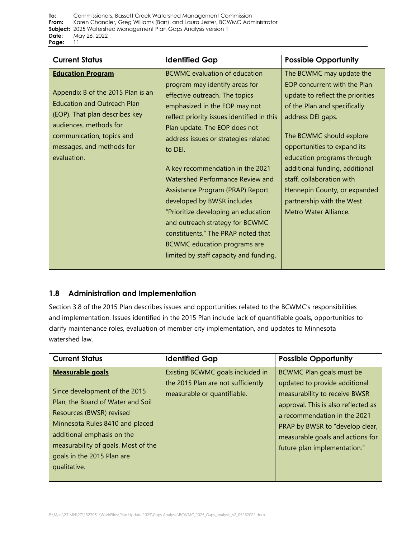| <b>Current Status</b>                                                                                                                                                                                                                    | <b>Identified Gap</b>                                                                                                                                                                                                                                                                                                                                                                                                                                                                                                                                                                                                  | <b>Possible Opportunity</b>                                                                                                                                                                                                                                                                                                                                                                     |
|------------------------------------------------------------------------------------------------------------------------------------------------------------------------------------------------------------------------------------------|------------------------------------------------------------------------------------------------------------------------------------------------------------------------------------------------------------------------------------------------------------------------------------------------------------------------------------------------------------------------------------------------------------------------------------------------------------------------------------------------------------------------------------------------------------------------------------------------------------------------|-------------------------------------------------------------------------------------------------------------------------------------------------------------------------------------------------------------------------------------------------------------------------------------------------------------------------------------------------------------------------------------------------|
| <b>Education Program</b><br>Appendix B of the 2015 Plan is an<br><b>Education and Outreach Plan</b><br>(EOP). That plan describes key<br>audiences, methods for<br>communication, topics and<br>messages, and methods for<br>evaluation. | <b>BCWMC</b> evaluation of education<br>program may identify areas for<br>effective outreach. The topics<br>emphasized in the EOP may not<br>reflect priority issues identified in this<br>Plan update. The EOP does not<br>address issues or strategies related<br>to DEI.<br>A key recommendation in the 2021<br>Watershed Performance Review and<br>Assistance Program (PRAP) Report<br>developed by BWSR includes<br>"Prioritize developing an education<br>and outreach strategy for BCWMC<br>constituents." The PRAP noted that<br><b>BCWMC</b> education programs are<br>limited by staff capacity and funding. | The BCWMC may update the<br>EOP concurrent with the Plan<br>update to reflect the priorities<br>of the Plan and specifically<br>address DEI gaps.<br>The BCWMC should explore<br>opportunities to expand its<br>education programs through<br>additional funding, additional<br>staff, collaboration with<br>Hennepin County, or expanded<br>partnership with the West<br>Metro Water Alliance. |

## **1.8 Administration and Implementation**

Section 3.8 of the 2015 Plan describes issues and opportunities related to the BCWMC's responsibilities and implementation. Issues identified in the 2015 Plan include lack of quantifiable goals, opportunities to clarify maintenance roles, evaluation of member city implementation, and updates to Minnesota watershed law.

| <b>Current Status</b>                                                                                                                                                                                                             | <b>Identified Gap</b>                                                                                 | <b>Possible Opportunity</b>                                                                                                                                                                                                                                              |
|-----------------------------------------------------------------------------------------------------------------------------------------------------------------------------------------------------------------------------------|-------------------------------------------------------------------------------------------------------|--------------------------------------------------------------------------------------------------------------------------------------------------------------------------------------------------------------------------------------------------------------------------|
| <b>Measurable goals</b><br>Since development of the 2015<br>Plan, the Board of Water and Soil<br>Resources (BWSR) revised<br>Minnesota Rules 8410 and placed<br>additional emphasis on the<br>measurability of goals. Most of the | Existing BCWMC goals included in<br>the 2015 Plan are not sufficiently<br>measurable or quantifiable. | BCWMC Plan goals must be<br>updated to provide additional<br>measurability to receive BWSR<br>approval. This is also reflected as<br>a recommendation in the 2021<br>PRAP by BWSR to "develop clear,<br>measurable goals and actions for<br>future plan implementation." |
| goals in the 2015 Plan are<br>qualitative.                                                                                                                                                                                        |                                                                                                       |                                                                                                                                                                                                                                                                          |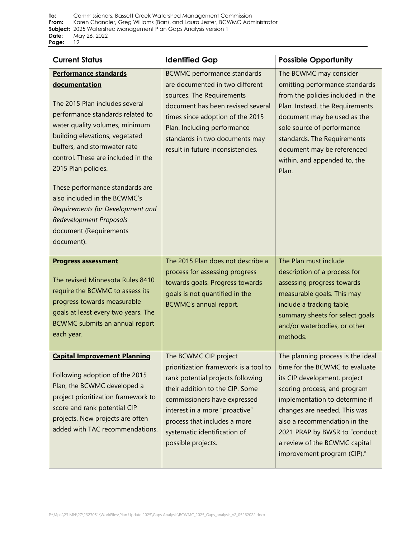| <b>Current Status</b>                                                                                                                                                                                                                                                                                                                                                                                                                                                 | <b>Identified Gap</b>                                                                                                                                                                                                                                                                          | <b>Possible Opportunity</b>                                                                                                                                                                                                                                                                                                            |
|-----------------------------------------------------------------------------------------------------------------------------------------------------------------------------------------------------------------------------------------------------------------------------------------------------------------------------------------------------------------------------------------------------------------------------------------------------------------------|------------------------------------------------------------------------------------------------------------------------------------------------------------------------------------------------------------------------------------------------------------------------------------------------|----------------------------------------------------------------------------------------------------------------------------------------------------------------------------------------------------------------------------------------------------------------------------------------------------------------------------------------|
| <b>Performance standards</b><br>documentation<br>The 2015 Plan includes several<br>performance standards related to<br>water quality volumes, minimum<br>building elevations, vegetated<br>buffers, and stormwater rate<br>control. These are included in the<br>2015 Plan policies.<br>These performance standards are<br>also included in the BCWMC's<br>Requirements for Development and<br><b>Redevelopment Proposals</b><br>document (Requirements<br>document). | <b>BCWMC</b> performance standards<br>are documented in two different<br>sources. The Requirements<br>document has been revised several<br>times since adoption of the 2015<br>Plan. Including performance<br>standards in two documents may<br>result in future inconsistencies.              | The BCWMC may consider<br>omitting performance standards<br>from the policies included in the<br>Plan. Instead, the Requirements<br>document may be used as the<br>sole source of performance<br>standards. The Requirements<br>document may be referenced<br>within, and appended to, the<br>Plan.                                    |
| <b>Progress assessment</b><br>The revised Minnesota Rules 8410<br>require the BCWMC to assess its<br>progress towards measurable<br>goals at least every two years. The<br><b>BCWMC</b> submits an annual report<br>each year.                                                                                                                                                                                                                                        | The 2015 Plan does not describe a<br>process for assessing progress<br>towards goals. Progress towards<br>goals is not quantified in the<br>BCWMC's annual report.                                                                                                                             | The Plan must include<br>description of a process for<br>assessing progress towards<br>measurable goals. This may<br>include a tracking table,<br>summary sheets for select goals<br>and/or waterbodies, or other<br>methods.                                                                                                          |
| <b>Capital Improvement Planning</b><br>Following adoption of the 2015<br>Plan, the BCWMC developed a<br>project prioritization framework to<br>score and rank potential CIP<br>projects. New projects are often<br>added with TAC recommendations.                                                                                                                                                                                                                    | The BCWMC CIP project<br>prioritization framework is a tool to<br>rank potential projects following<br>their addition to the CIP. Some<br>commissioners have expressed<br>interest in a more "proactive"<br>process that includes a more<br>systematic identification of<br>possible projects. | The planning process is the ideal<br>time for the BCWMC to evaluate<br>its CIP development, project<br>scoring process, and program<br>implementation to determine if<br>changes are needed. This was<br>also a recommendation in the<br>2021 PRAP by BWSR to "conduct<br>a review of the BCWMC capital<br>improvement program (CIP)." |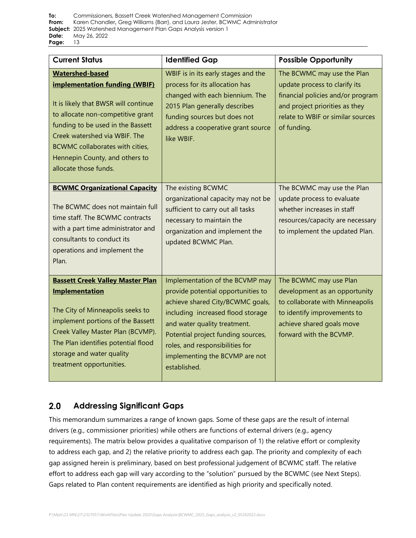**To:** [Commissioners, Bassett Creek Watershed Management](#page-0-0) Commission **From:** Karen Chandler**,** [Greg Williams \(Barr\), and Laura Jester, BCWMC Administrator](#page-0-1) **Subject:** [2025 Watershed Management Plan Gaps Analysis version 1](#page-0-2)  **Date:** [May 26, 2022](#page-0-3)  **Page:** 13

| <b>Current Status</b>                                                                                                                                                                                                                                                                                           | <b>Identified Gap</b>                                                                                                                                                                                                                                                                                     | <b>Possible Opportunity</b>                                                                                                                                                            |
|-----------------------------------------------------------------------------------------------------------------------------------------------------------------------------------------------------------------------------------------------------------------------------------------------------------------|-----------------------------------------------------------------------------------------------------------------------------------------------------------------------------------------------------------------------------------------------------------------------------------------------------------|----------------------------------------------------------------------------------------------------------------------------------------------------------------------------------------|
| <b>Watershed-based</b><br><b>implementation funding (WBIF)</b><br>It is likely that BWSR will continue<br>to allocate non-competitive grant<br>funding to be used in the Bassett<br>Creek watershed via WBIF. The<br>BCWMC collaborates with cities,<br>Hennepin County, and others to<br>allocate those funds. | WBIF is in its early stages and the<br>process for its allocation has<br>changed with each biennium. The<br>2015 Plan generally describes<br>funding sources but does not<br>address a cooperative grant source<br>like WBIF.                                                                             | The BCWMC may use the Plan<br>update process to clarify its<br>financial policies and/or program<br>and project priorities as they<br>relate to WBIF or similar sources<br>of funding. |
| <b>BCWMC Organizational Capacity</b><br>The BCWMC does not maintain full<br>time staff. The BCWMC contracts<br>with a part time administrator and<br>consultants to conduct its<br>operations and implement the<br>Plan.                                                                                        | The existing BCWMC<br>organizational capacity may not be<br>sufficient to carry out all tasks<br>necessary to maintain the<br>organization and implement the<br>updated BCWMC Plan.                                                                                                                       | The BCWMC may use the Plan<br>update process to evaluate<br>whether increases in staff<br>resources/capacity are necessary<br>to implement the updated Plan.                           |
| <b>Bassett Creek Valley Master Plan</b><br><b>Implementation</b><br>The City of Minneapolis seeks to<br>implement portions of the Bassett<br>Creek Valley Master Plan (BCVMP).<br>The Plan identifies potential flood<br>storage and water quality<br>treatment opportunities.                                  | Implementation of the BCVMP may<br>provide potential opportunities to<br>achieve shared City/BCWMC goals,<br>including increased flood storage<br>and water quality treatment.<br>Potential project funding sources,<br>roles, and responsibilities for<br>implementing the BCVMP are not<br>established. | The BCWMC may use Plan<br>development as an opportunity<br>to collaborate with Minneapolis<br>to identify improvements to<br>achieve shared goals move<br>forward with the BCVMP.      |

#### $2.0$ **Addressing Significant Gaps**

This memorandum summarizes a range of known gaps. Some of these gaps are the result of internal drivers (e.g., commissioner priorities) while others are functions of external drivers (e.g., agency requirements). The matrix below provides a qualitative comparison of 1) the relative effort or complexity to address each gap, and 2) the relative priority to address each gap. The priority and complexity of each gap assigned herein is preliminary, based on best professional judgement of BCWMC staff. The relative effort to address each gap will vary according to the "solution" pursued by the BCWMC (see [Next Steps\)](#page-13-0). Gaps related to Plan content requirements are identified as high priority and specifically noted.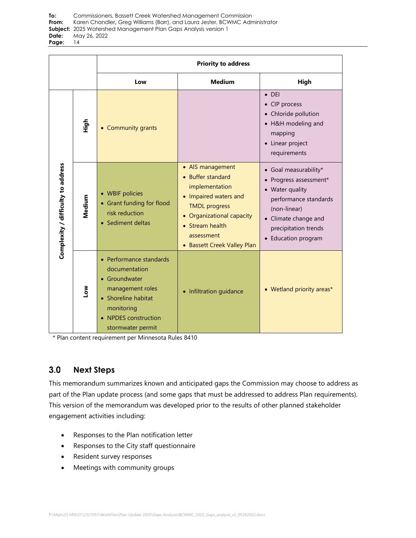|                                    |        |                                                                                                                                                                 | <b>Priority to address</b>                                                                                                                                                                            |                                                                                                                                                                                               |
|------------------------------------|--------|-----------------------------------------------------------------------------------------------------------------------------------------------------------------|-------------------------------------------------------------------------------------------------------------------------------------------------------------------------------------------------------|-----------------------------------------------------------------------------------------------------------------------------------------------------------------------------------------------|
|                                    |        | Low                                                                                                                                                             | <b>Medium</b>                                                                                                                                                                                         | High                                                                                                                                                                                          |
|                                    | High   | • Community grants                                                                                                                                              |                                                                                                                                                                                                       | $\bullet$ DEI<br>• CIP process<br>• Chloride pollution<br>• H&H modeling and<br>mapping<br>• Linear project<br>requirements                                                                   |
| Complexity / difficulty to address | Medium | • WBIF policies<br>• Grant funding for flood<br>risk reduction<br>• Sediment deltas                                                                             | • AIS management<br>• Buffer standard<br>implementation<br>• Impaired waters and<br><b>TMDL</b> progress<br>• Organizational capacity<br>• Stream health<br>assessment<br>• Bassett Creek Valley Plan | • Goal measurability*<br>Progress assessment*<br>$\bullet$<br>• Water quality<br>performance standards<br>(non-linear)<br>• Climate change and<br>precipitation trends<br>• Education program |
|                                    | Low    | • Performance standards<br>documentation<br>• Groundwater<br>management roles<br>• Shoreline habitat<br>monitoring<br>• NPDES construction<br>stormwater permit | • Infiltration guidance                                                                                                                                                                               | • Wetland priority areas*                                                                                                                                                                     |

\* Plan content requirement per Minnesota Rules 8410

#### <span id="page-13-0"></span> $3.0$ **Next Steps**

This memorandum summarizes known and anticipated gaps the Commission may choose to address as part of the Plan update process (and some gaps that must be addressed to address Plan requirements). This version of the memorandum was developed prior to the results of other planned stakeholder engagement activities including:

- Responses to the Plan notification letter
- Responses to the City staff questionnaire
- Resident survey responses
- Meetings with community groups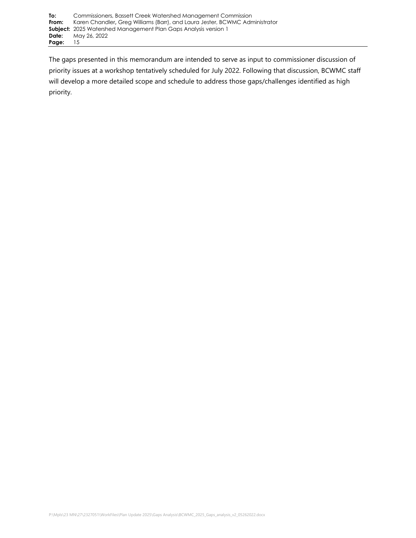The gaps presented in this memorandum are intended to serve as input to commissioner discussion of priority issues at a workshop tentatively scheduled for July 2022. Following that discussion, BCWMC staff will develop a more detailed scope and schedule to address those gaps/challenges identified as high priority.